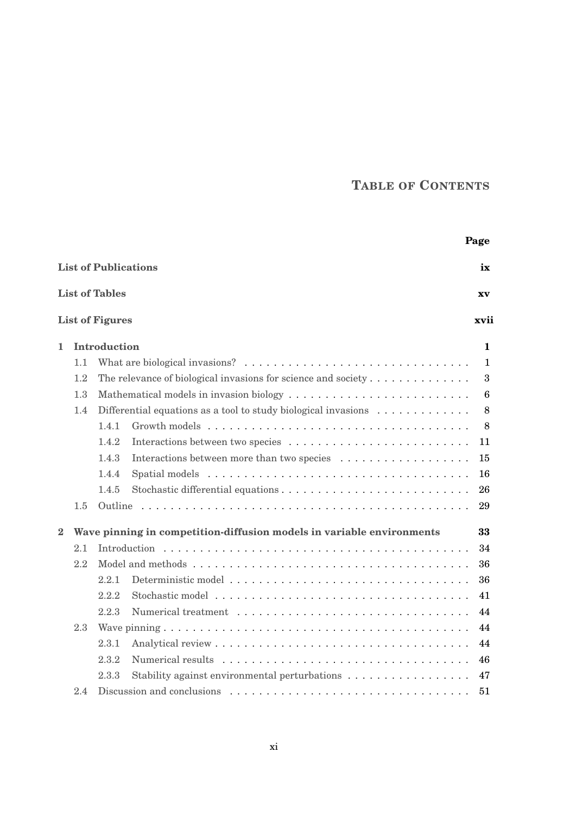## **TABLE OF CONTENTS**

|          |                                   |                        |                                                                                          | Page            |  |
|----------|-----------------------------------|------------------------|------------------------------------------------------------------------------------------|-----------------|--|
|          | <b>List of Publications</b><br>ix |                        |                                                                                          |                 |  |
|          |                                   | <b>List of Tables</b>  |                                                                                          | XV              |  |
|          |                                   | <b>List of Figures</b> |                                                                                          | xvii            |  |
| 1.       |                                   | Introduction           |                                                                                          | 1               |  |
|          | 1.1                               |                        |                                                                                          |                 |  |
|          | 1.2                               |                        | The relevance of biological invasions for science and society $\dots \dots \dots \dots$  | 3               |  |
|          | 1.3                               |                        | Mathematical models in invasion biology                                                  | $6\phantom{1}6$ |  |
|          | 1.4                               |                        | Differential equations as a tool to study biological invasions $\dots \dots \dots \dots$ | 8               |  |
|          |                                   | 1.4.1                  |                                                                                          | 8               |  |
|          |                                   | 1.4.2                  | Interactions between two species                                                         | 11              |  |
|          |                                   | 1.4.3                  |                                                                                          | 15              |  |
|          |                                   | 1.4.4                  |                                                                                          | 16              |  |
|          |                                   | 1.4.5                  |                                                                                          | 26              |  |
|          | 1.5                               | Outline                |                                                                                          | 29              |  |
| $\bf{2}$ |                                   |                        | Wave pinning in competition-diffusion models in variable environments                    | 33              |  |
|          | 2.1                               |                        |                                                                                          | 34              |  |
|          | 2.2                               |                        |                                                                                          | 36              |  |
|          |                                   | 2.2.1                  |                                                                                          | 36              |  |
|          |                                   | 2.2.2                  |                                                                                          | 41              |  |
|          |                                   | 2.2.3                  |                                                                                          | 44              |  |
|          | 2.3                               |                        |                                                                                          | 44              |  |
|          |                                   | 2.3.1                  |                                                                                          | 44              |  |
|          |                                   | 2.3.2                  |                                                                                          | 46              |  |
|          |                                   | 2.3.3                  | Stability against environmental perturbations                                            | 47              |  |
|          | 2.4                               |                        |                                                                                          |                 |  |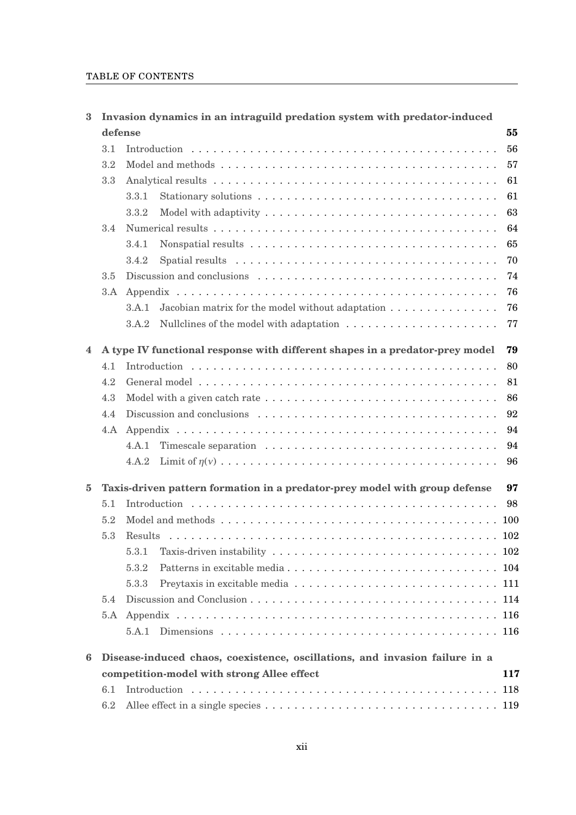## TABLE OF CONTENTS

| 3        |         | Invasion dynamics in an intraguild predation system with predator-induced    |     |  |  |  |  |
|----------|---------|------------------------------------------------------------------------------|-----|--|--|--|--|
|          | defense |                                                                              | 55  |  |  |  |  |
|          | 3.1     |                                                                              | 56  |  |  |  |  |
|          | 3.2     |                                                                              |     |  |  |  |  |
|          | 3.3     |                                                                              | 61  |  |  |  |  |
|          |         | 3.3.1                                                                        | 61  |  |  |  |  |
|          |         | 3.3.2                                                                        | 63  |  |  |  |  |
|          | 3.4     |                                                                              | 64  |  |  |  |  |
|          |         | 3.4.1                                                                        | 65  |  |  |  |  |
|          |         | 3.4.2                                                                        | 70  |  |  |  |  |
|          | 3.5     |                                                                              | 74  |  |  |  |  |
|          | 3.A     |                                                                              | 76  |  |  |  |  |
|          |         | Jacobian matrix for the model without adaptation<br>3.A.1                    | 76  |  |  |  |  |
|          |         | 3.A.2                                                                        | 77  |  |  |  |  |
|          |         |                                                                              |     |  |  |  |  |
| 4        |         | A type IV functional response with different shapes in a predator-prey model | 79  |  |  |  |  |
|          | 4.1     |                                                                              | 80  |  |  |  |  |
|          | 4.2     |                                                                              | 81  |  |  |  |  |
|          | 4.3     |                                                                              | 86  |  |  |  |  |
|          | 4.4     |                                                                              | 92  |  |  |  |  |
|          | 4.A     |                                                                              | 94  |  |  |  |  |
|          |         | 4.A.1                                                                        | 94  |  |  |  |  |
|          |         | 4.A.2                                                                        | 96  |  |  |  |  |
| $\bf{5}$ |         | Taxis-driven pattern formation in a predator-prey model with group defense   | 97  |  |  |  |  |
|          | 5.1     |                                                                              | 98  |  |  |  |  |
|          | 5.2     |                                                                              |     |  |  |  |  |
|          | 5.3     | Results                                                                      |     |  |  |  |  |
|          |         | 5.3.1                                                                        |     |  |  |  |  |
|          |         | 5.3.2                                                                        |     |  |  |  |  |
|          |         | 5.3.3                                                                        |     |  |  |  |  |
|          | 5.4     |                                                                              |     |  |  |  |  |
|          |         |                                                                              |     |  |  |  |  |
|          |         |                                                                              |     |  |  |  |  |
| 6        |         | Disease-induced chaos, coexistence, oscillations, and invasion failure in a  |     |  |  |  |  |
|          |         | competition-model with strong Allee effect                                   | 117 |  |  |  |  |
|          | 6.1     |                                                                              | 118 |  |  |  |  |
|          | 6.2     |                                                                              |     |  |  |  |  |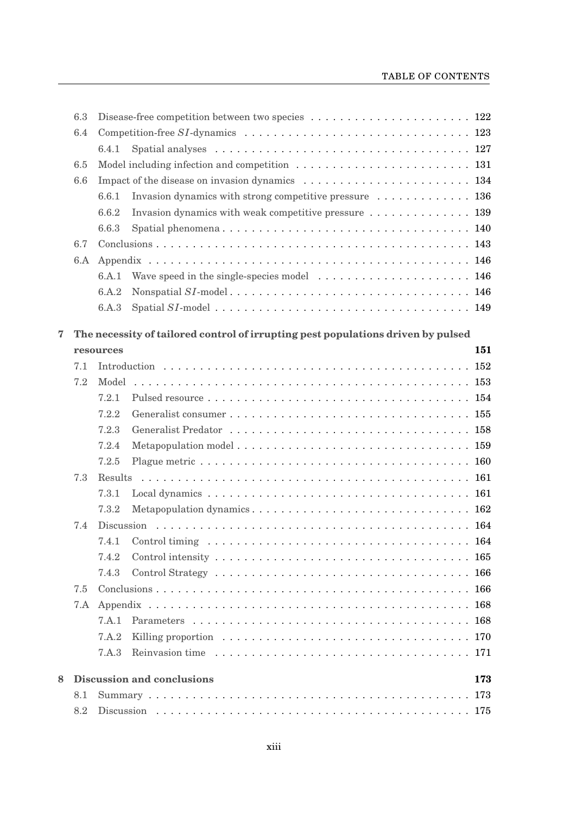|       | 6.3                                      |           |                                                                                                          |     |  |  |  |  |
|-------|------------------------------------------|-----------|----------------------------------------------------------------------------------------------------------|-----|--|--|--|--|
|       | 6.4                                      |           |                                                                                                          |     |  |  |  |  |
|       |                                          | 6.4.1     |                                                                                                          |     |  |  |  |  |
|       | 6.5                                      |           |                                                                                                          |     |  |  |  |  |
|       | 6.6                                      |           |                                                                                                          |     |  |  |  |  |
|       |                                          | 6.6.1     | Invasion dynamics with strong competitive pressure  136                                                  |     |  |  |  |  |
|       |                                          | 6.6.2     | Invasion dynamics with weak competitive pressure  139                                                    |     |  |  |  |  |
|       |                                          | 6.6.3     | Spatial phenomena 140                                                                                    |     |  |  |  |  |
|       | 6.7                                      |           |                                                                                                          |     |  |  |  |  |
|       | 6.A                                      |           |                                                                                                          |     |  |  |  |  |
|       |                                          | 6.A.1     |                                                                                                          |     |  |  |  |  |
|       |                                          | 6.A.2     |                                                                                                          |     |  |  |  |  |
|       |                                          | 6.A.3     |                                                                                                          |     |  |  |  |  |
|       |                                          |           |                                                                                                          |     |  |  |  |  |
| 7     |                                          | resources | The necessity of tailored control of irrupting pest populations driven by pulsed                         | 151 |  |  |  |  |
|       | 7.1                                      |           |                                                                                                          |     |  |  |  |  |
|       | 7.2                                      | Model     |                                                                                                          |     |  |  |  |  |
|       |                                          | 7.2.1     |                                                                                                          |     |  |  |  |  |
|       |                                          | 7.2.2     |                                                                                                          |     |  |  |  |  |
|       |                                          |           |                                                                                                          |     |  |  |  |  |
|       |                                          | 7.2.3     |                                                                                                          |     |  |  |  |  |
|       |                                          | 7.2.4     |                                                                                                          |     |  |  |  |  |
|       |                                          | 7.2.5     |                                                                                                          |     |  |  |  |  |
|       | 7.3                                      | Results   |                                                                                                          |     |  |  |  |  |
|       |                                          | 7.3.1     | Local dynamics $\ldots \ldots \ldots \ldots \ldots \ldots \ldots \ldots \ldots \ldots \ldots \ldots 161$ |     |  |  |  |  |
| 7.3.2 |                                          |           |                                                                                                          |     |  |  |  |  |
|       | 7.4                                      |           |                                                                                                          |     |  |  |  |  |
|       |                                          | 7.4.1     |                                                                                                          |     |  |  |  |  |
|       |                                          | 7.4.2     |                                                                                                          |     |  |  |  |  |
|       |                                          | 7.4.3     |                                                                                                          |     |  |  |  |  |
|       | 7.5                                      |           |                                                                                                          |     |  |  |  |  |
|       | 7.A                                      |           |                                                                                                          |     |  |  |  |  |
|       |                                          | 7 A 1     |                                                                                                          |     |  |  |  |  |
|       |                                          | 7.A.2     |                                                                                                          |     |  |  |  |  |
|       |                                          | 7.A.3     |                                                                                                          |     |  |  |  |  |
| 8     | <b>Discussion and conclusions</b><br>173 |           |                                                                                                          |     |  |  |  |  |
|       | 8.1                                      |           |                                                                                                          | 173 |  |  |  |  |
| 8.2   |                                          |           |                                                                                                          |     |  |  |  |  |